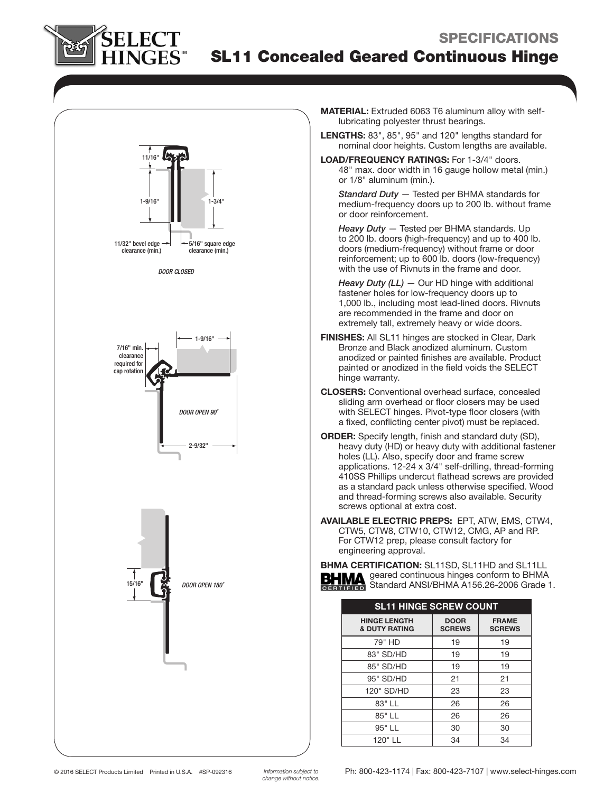

# SL11 Concealed Geared Continuous Hinge



MATERIAL: Extruded 6063 T6 aluminum alloy with selflubricating polyester thrust bearings.

LENGTHS: 83", 85", 95" and 120" lengths standard for nominal door heights. Custom lengths are available.

LOAD/FREQUENCY RATINGS: For 1-3/4" doors. 48" max. door width in 16 gauge hollow metal (min.) or 1/8" aluminum (min.).

Standard Duty - Tested per BHMA standards for medium-frequency doors up to 200 lb. without frame or door reinforcement.

Heavy Duty - Tested per BHMA standards. Up to 200 lb. doors (high-frequency) and up to 400 lb. doors (medium-frequency) without frame or door reinforcement; up to 600 lb. doors (low-frequency) with the use of Rivnuts in the frame and door.

- Heavy Duty  $(LL)$  Our HD hinge with additional fastener holes for low-frequency doors up to 1,000 lb., including most lead-lined doors. Rivnuts are recommended in the frame and door on extremely tall, extremely heavy or wide doors.
- FINISHES: All SL11 hinges are stocked in Clear, Dark Bronze and Black anodized aluminum. Custom anodized or painted finishes are available. Product painted or anodized in the field voids the SELECT hinge warranty.
- CLOSERS: Conventional overhead surface, concealed sliding arm overhead or floor closers may be used with SELECT hinges. Pivot-type floor closers (with a fixed, conflicting center pivot) must be replaced.
- ORDER: Specify length, finish and standard duty (SD), heavy duty (HD) or heavy duty with additional fastener holes (LL). Also, specify door and frame screw applications. 12-24 x 3/4" self-drilling, thread-forming 410SS Phillips undercut flathead screws are provided as a standard pack unless otherwise specified. Wood and thread-forming screws also available. Security screws optional at extra cost.
- AVAILABLE ELECTRIC PREPS: EPT, ATW, EMS, CTW4, CTW5, CTW8, CTW10, CTW12, CMG, AP and RP. For CTW12 prep, please consult factory for engineering approval.

BHMA CERTIFICATION: SL11SD, SL11HD and SL11LL geared continuous hinges conform to BHMA Standard ANSI/BHMA A156.26-2006 Grade 1.

| <b>SL11 HINGE SCREW COUNT</b>                   |                              |                               |
|-------------------------------------------------|------------------------------|-------------------------------|
| <b>HINGE LENGTH</b><br><b>&amp; DUTY RATING</b> | <b>DOOR</b><br><b>SCREWS</b> | <b>FRAME</b><br><b>SCREWS</b> |
| 79" HD                                          | 19                           | 19                            |
| 83" SD/HD                                       | 19                           | 19                            |
| 85" SD/HD                                       | 19                           | 19                            |
| 95" SD/HD                                       | 21                           | 21                            |
| 120" SD/HD                                      | 23                           | 23                            |
| 83" LL                                          | 26                           | 26                            |
| 85" LL                                          | 26                           | 26                            |
| 95" LL                                          | 30                           | 30                            |
| 120" LL                                         | 34                           | 34                            |